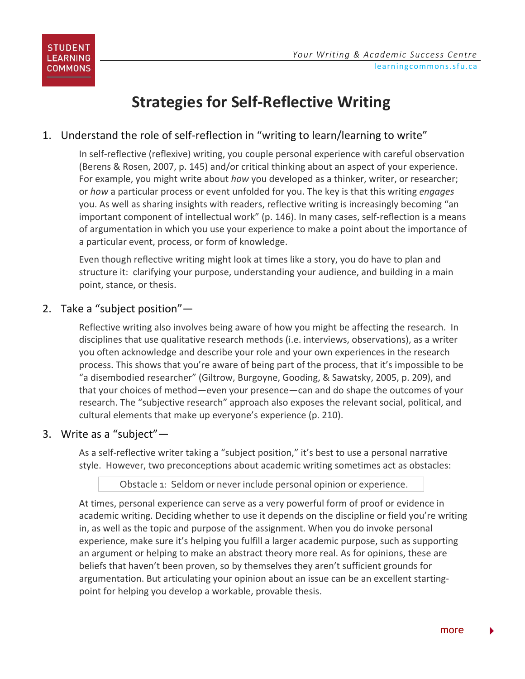# **Strategies for Self-Reflective Writing**

# 1. Understand the role of self-reflection in "writing to learn/learning to write"

In self-reflective (reflexive) writing, you couple personal experience with careful observation (Berens & Rosen, 2007, p. 145) and/or critical thinking about an aspect of your experience. For example, you might write about *how* you developed as a thinker, writer, or researcher; or *how* a particular process or event unfolded for you. The key is that this writing *engages* you. As well as sharing insights with readers, reflective writing is increasingly becoming "an important component of intellectual work" (p. 146). In many cases, self-reflection is a means of argumentation in which you use your experience to make a point about the importance of a particular event, process, or form of knowledge.

Even though reflective writing might look at times like a story, you do have to plan and structure it: clarifying your purpose, understanding your audience, and building in a main point, stance, or thesis.

## 2. Take a "subject position"—

Reflective writing also involves being aware of how you might be affecting the research. In disciplines that use qualitative research methods (i.e. interviews, observations), as a writer you often acknowledge and describe your role and your own experiences in the research process. This shows that you're aware of being part of the process, that it's impossible to be "a disembodied researcher" (Giltrow, Burgoyne, Gooding, & Sawatsky, 2005, p. 209), and that your choices of method—even your presence—can and do shape the outcomes of your research. The "subjective research" approach also exposes the relevant social, political, and cultural elements that make up everyone's experience (p. 210).

#### 3. Write as a "subject"—

As a self-reflective writer taking a "subject position," it's best to use a personal narrative style. However, two preconceptions about academic writing sometimes act as obstacles:

#### Obstacle 1: Seldom or never include personal opinion or experience.

At times, personal experience can serve as a very powerful form of proof or evidence in academic writing. Deciding whether to use it depends on the discipline or field you're writing in, as well as the topic and purpose of the assignment. When you do invoke personal experience, make sure it's helping you fulfill a larger academic purpose, such as supporting an argument or helping to make an abstract theory more real. As for opinions, these are beliefs that haven't been proven, so by themselves they aren't sufficient grounds for argumentation. But articulating your opinion about an issue can be an excellent startingpoint for helping you develop a workable, provable thesis.